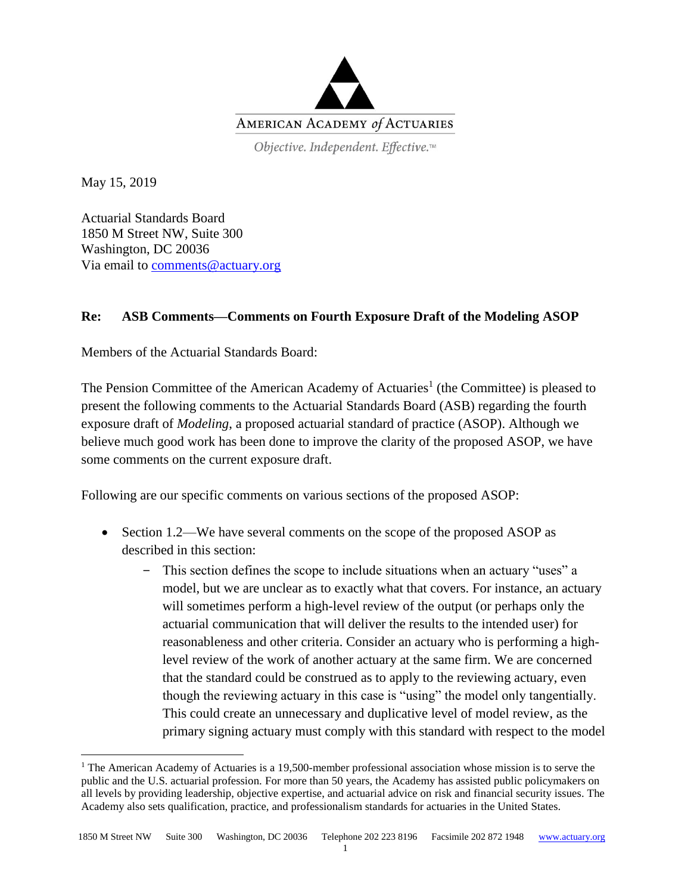

Objective. Independent. Effective.™

May 15, 2019

 $\overline{a}$ 

Actuarial Standards Board 1850 M Street NW, Suite 300 Washington, DC 20036 Via email to [comments@actuary.org](mailto:comments@actuary.org)

## **Re: ASB Comments—Comments on Fourth Exposure Draft of the Modeling ASOP**

Members of the Actuarial Standards Board:

The Pension Committee of the American Academy of Actuaries<sup>1</sup> (the Committee) is pleased to present the following comments to the Actuarial Standards Board (ASB) regarding the fourth exposure draft of *Modeling*, a proposed actuarial standard of practice (ASOP). Although we believe much good work has been done to improve the clarity of the proposed ASOP, we have some comments on the current exposure draft.

Following are our specific comments on various sections of the proposed ASOP:

- Section 1.2—We have several comments on the scope of the proposed ASOP as described in this section:
	- ‒ This section defines the scope to include situations when an actuary "uses" a model, but we are unclear as to exactly what that covers. For instance, an actuary will sometimes perform a high-level review of the output (or perhaps only the actuarial communication that will deliver the results to the intended user) for reasonableness and other criteria. Consider an actuary who is performing a highlevel review of the work of another actuary at the same firm. We are concerned that the standard could be construed as to apply to the reviewing actuary, even though the reviewing actuary in this case is "using" the model only tangentially. This could create an unnecessary and duplicative level of model review, as the primary signing actuary must comply with this standard with respect to the model

<sup>&</sup>lt;sup>1</sup> The American Academy of Actuaries is a 19,500-member professional association whose mission is to serve the public and the U.S. actuarial profession. For more than 50 years, the Academy has assisted public policymakers on all levels by providing leadership, objective expertise, and actuarial advice on risk and financial security issues. The Academy also sets qualification, practice, and professionalism standards for actuaries in the United States.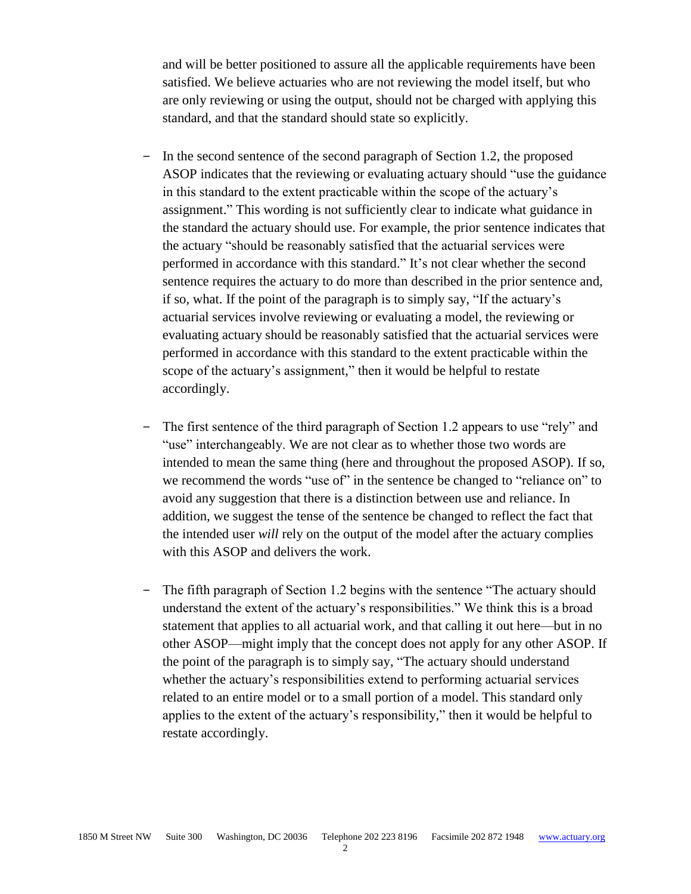and will be better positioned to assure all the applicable requirements have been satisfied. We believe actuaries who are not reviewing the model itself, but who are only reviewing or using the output, should not be charged with applying this standard, and that the standard should state so explicitly.

- ‒ In the second sentence of the second paragraph of Section 1.2, the proposed ASOP indicates that the reviewing or evaluating actuary should "use the guidance in this standard to the extent practicable within the scope of the actuary's assignment." This wording is not sufficiently clear to indicate what guidance in the standard the actuary should use. For example, the prior sentence indicates that the actuary "should be reasonably satisfied that the actuarial services were performed in accordance with this standard." It's not clear whether the second sentence requires the actuary to do more than described in the prior sentence and, if so, what. If the point of the paragraph is to simply say, "If the actuary's actuarial services involve reviewing or evaluating a model, the reviewing or evaluating actuary should be reasonably satisfied that the actuarial services were performed in accordance with this standard to the extent practicable within the scope of the actuary's assignment," then it would be helpful to restate accordingly.
- The first sentence of the third paragraph of Section 1.2 appears to use "rely" and "use" interchangeably. We are not clear as to whether those two words are intended to mean the same thing (here and throughout the proposed ASOP). If so, we recommend the words "use of" in the sentence be changed to "reliance on" to avoid any suggestion that there is a distinction between use and reliance. In addition, we suggest the tense of the sentence be changed to reflect the fact that the intended user *will* rely on the output of the model after the actuary complies with this ASOP and delivers the work.
- The fifth paragraph of Section 1.2 begins with the sentence "The actuary should understand the extent of the actuary's responsibilities." We think this is a broad statement that applies to all actuarial work, and that calling it out here—but in no other ASOP—might imply that the concept does not apply for any other ASOP. If the point of the paragraph is to simply say, "The actuary should understand whether the actuary's responsibilities extend to performing actuarial services related to an entire model or to a small portion of a model. This standard only applies to the extent of the actuary's responsibility," then it would be helpful to restate accordingly.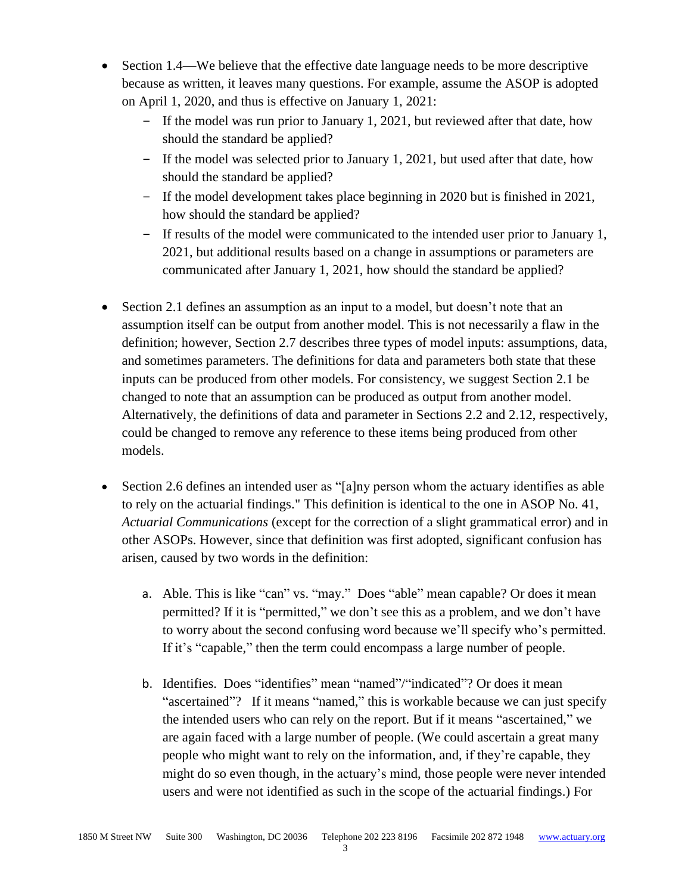- Section 1.4—We believe that the effective date language needs to be more descriptive because as written, it leaves many questions. For example, assume the ASOP is adopted on April 1, 2020, and thus is effective on January 1, 2021:
	- ‒ If the model was run prior to January 1, 2021, but reviewed after that date, how should the standard be applied?
	- ‒ If the model was selected prior to January 1, 2021, but used after that date, how should the standard be applied?
	- ‒ If the model development takes place beginning in 2020 but is finished in 2021, how should the standard be applied?
	- ‒ If results of the model were communicated to the intended user prior to January 1, 2021, but additional results based on a change in assumptions or parameters are communicated after January 1, 2021, how should the standard be applied?
- Section 2.1 defines an assumption as an input to a model, but doesn't note that an assumption itself can be output from another model. This is not necessarily a flaw in the definition; however, Section 2.7 describes three types of model inputs: assumptions, data, and sometimes parameters. The definitions for data and parameters both state that these inputs can be produced from other models. For consistency, we suggest Section 2.1 be changed to note that an assumption can be produced as output from another model. Alternatively, the definitions of data and parameter in Sections 2.2 and 2.12, respectively, could be changed to remove any reference to these items being produced from other models.
- Section 2.6 defines an intended user as "[a]ny person whom the actuary identifies as able to rely on the actuarial findings." This definition is identical to the one in ASOP No. 41, *Actuarial Communications* (except for the correction of a slight grammatical error) and in other ASOPs. However, since that definition was first adopted, significant confusion has arisen, caused by two words in the definition:
	- a. Able. This is like "can" vs. "may." Does "able" mean capable? Or does it mean permitted? If it is "permitted," we don't see this as a problem, and we don't have to worry about the second confusing word because we'll specify who's permitted. If it's "capable," then the term could encompass a large number of people.
	- b. Identifies. Does "identifies" mean "named"/"indicated"? Or does it mean "ascertained"? If it means "named," this is workable because we can just specify the intended users who can rely on the report. But if it means "ascertained," we are again faced with a large number of people. (We could ascertain a great many people who might want to rely on the information, and, if they're capable, they might do so even though, in the actuary's mind, those people were never intended users and were not identified as such in the scope of the actuarial findings.) For

3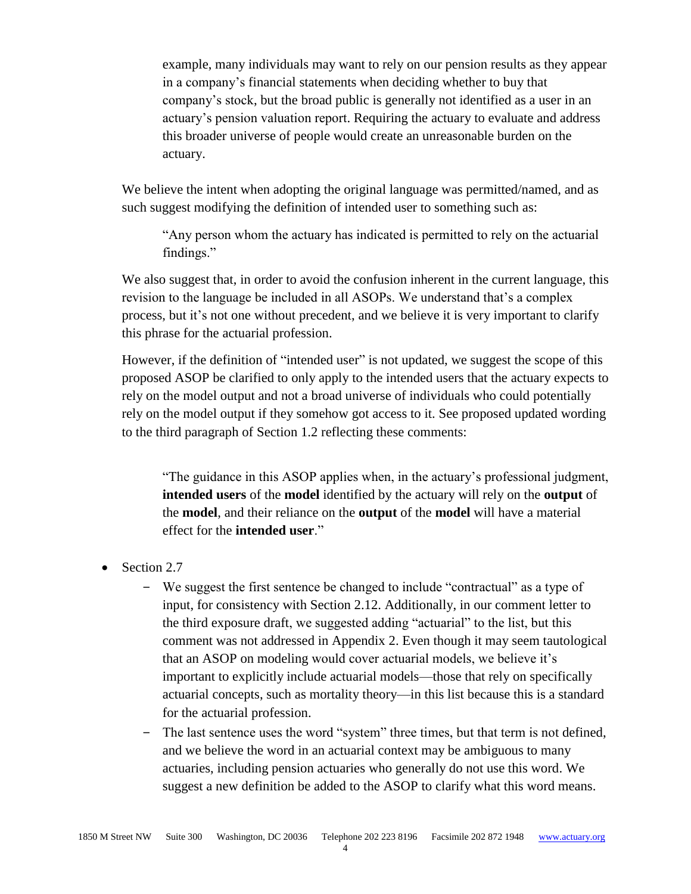example, many individuals may want to rely on our pension results as they appear in a company's financial statements when deciding whether to buy that company's stock, but the broad public is generally not identified as a user in an actuary's pension valuation report. Requiring the actuary to evaluate and address this broader universe of people would create an unreasonable burden on the actuary.

We believe the intent when adopting the original language was permitted/named, and as such suggest modifying the definition of intended user to something such as:

"Any person whom the actuary has indicated is permitted to rely on the actuarial findings."

We also suggest that, in order to avoid the confusion inherent in the current language, this revision to the language be included in all ASOPs. We understand that's a complex process, but it's not one without precedent, and we believe it is very important to clarify this phrase for the actuarial profession.

However, if the definition of "intended user" is not updated, we suggest the scope of this proposed ASOP be clarified to only apply to the intended users that the actuary expects to rely on the model output and not a broad universe of individuals who could potentially rely on the model output if they somehow got access to it. See proposed updated wording to the third paragraph of Section 1.2 reflecting these comments:

"The guidance in this ASOP applies when, in the actuary's professional judgment, **intended users** of the **model** identified by the actuary will rely on the **output** of the **model**, and their reliance on the **output** of the **model** will have a material effect for the **intended user**."

- Section 2.7
	- ‒ We suggest the first sentence be changed to include "contractual" as a type of input, for consistency with Section 2.12. Additionally, in our comment letter to the third exposure draft, we suggested adding "actuarial" to the list, but this comment was not addressed in Appendix 2. Even though it may seem tautological that an ASOP on modeling would cover actuarial models, we believe it's important to explicitly include actuarial models—those that rely on specifically actuarial concepts, such as mortality theory—in this list because this is a standard for the actuarial profession.
	- ‒ The last sentence uses the word "system" three times, but that term is not defined, and we believe the word in an actuarial context may be ambiguous to many actuaries, including pension actuaries who generally do not use this word. We suggest a new definition be added to the ASOP to clarify what this word means.

4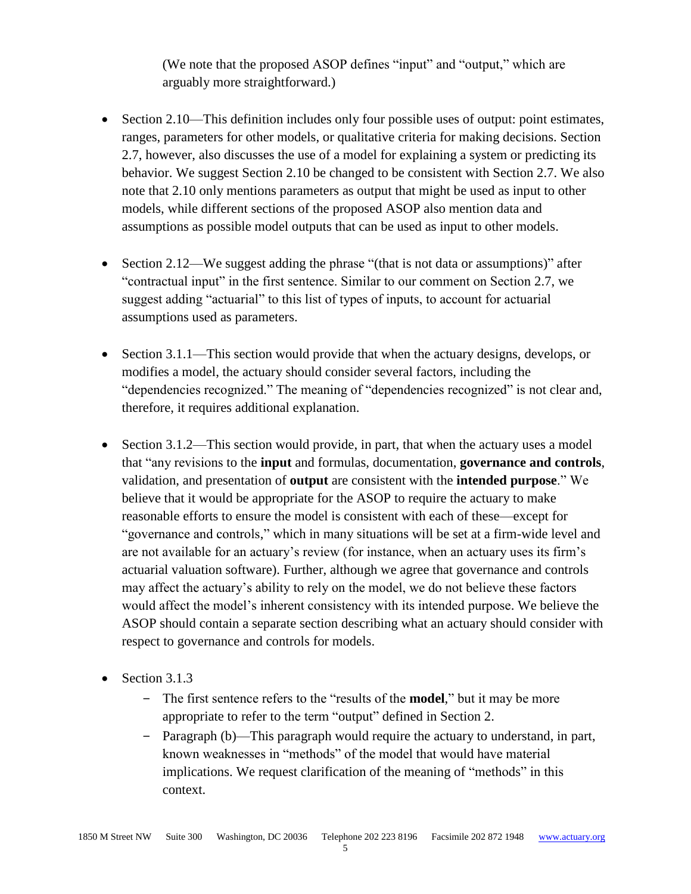(We note that the proposed ASOP defines "input" and "output," which are arguably more straightforward.)

- Section 2.10—This definition includes only four possible uses of output: point estimates, ranges, parameters for other models, or qualitative criteria for making decisions. Section 2.7, however, also discusses the use of a model for explaining a system or predicting its behavior. We suggest Section 2.10 be changed to be consistent with Section 2.7. We also note that 2.10 only mentions parameters as output that might be used as input to other models, while different sections of the proposed ASOP also mention data and assumptions as possible model outputs that can be used as input to other models.
- Section 2.12—We suggest adding the phrase "(that is not data or assumptions)" after "contractual input" in the first sentence. Similar to our comment on Section 2.7, we suggest adding "actuarial" to this list of types of inputs, to account for actuarial assumptions used as parameters.
- Section 3.1.1—This section would provide that when the actuary designs, develops, or modifies a model, the actuary should consider several factors, including the "dependencies recognized." The meaning of "dependencies recognized" is not clear and, therefore, it requires additional explanation.
- Section 3.1.2—This section would provide, in part, that when the actuary uses a model that "any revisions to the **input** and formulas, documentation, **governance and controls**, validation, and presentation of **output** are consistent with the **intended purpose**." We believe that it would be appropriate for the ASOP to require the actuary to make reasonable efforts to ensure the model is consistent with each of these—except for "governance and controls," which in many situations will be set at a firm-wide level and are not available for an actuary's review (for instance, when an actuary uses its firm's actuarial valuation software). Further, although we agree that governance and controls may affect the actuary's ability to rely on the model, we do not believe these factors would affect the model's inherent consistency with its intended purpose. We believe the ASOP should contain a separate section describing what an actuary should consider with respect to governance and controls for models.
- Section 3.1.3
	- ‒ The first sentence refers to the "results of the **model**," but it may be more appropriate to refer to the term "output" defined in Section 2.
	- ‒ Paragraph (b)—This paragraph would require the actuary to understand, in part, known weaknesses in "methods" of the model that would have material implications. We request clarification of the meaning of "methods" in this context.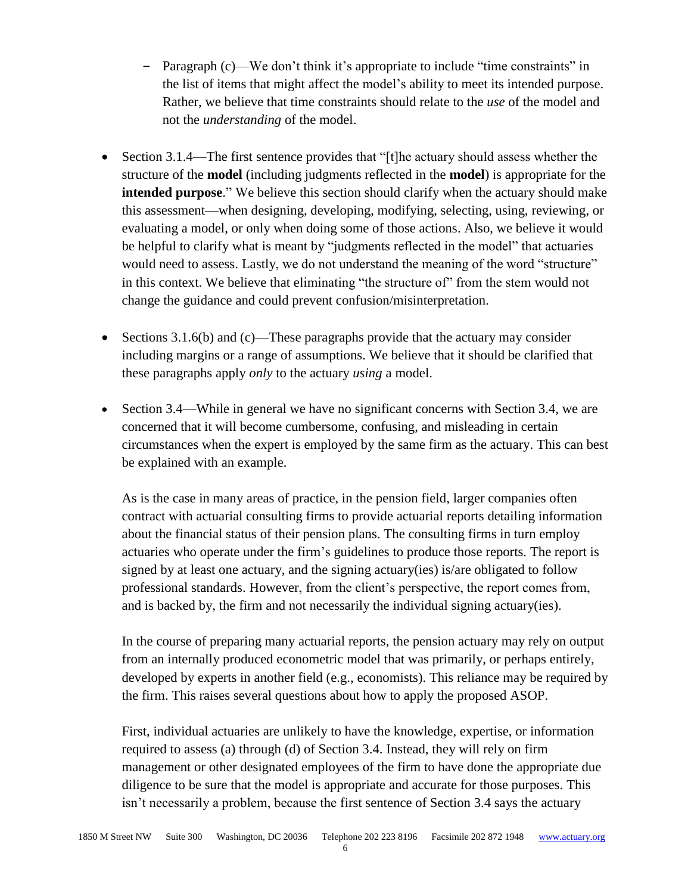- ‒ Paragraph (c)—We don't think it's appropriate to include "time constraints" in the list of items that might affect the model's ability to meet its intended purpose. Rather, we believe that time constraints should relate to the *use* of the model and not the *understanding* of the model.
- Section 3.1.4—The first sentence provides that "[t]he actuary should assess whether the structure of the **model** (including judgments reflected in the **model**) is appropriate for the **intended purpose**." We believe this section should clarify when the actuary should make this assessment—when designing, developing, modifying, selecting, using, reviewing, or evaluating a model, or only when doing some of those actions. Also, we believe it would be helpful to clarify what is meant by "judgments reflected in the model" that actuaries would need to assess. Lastly, we do not understand the meaning of the word "structure" in this context. We believe that eliminating "the structure of" from the stem would not change the guidance and could prevent confusion/misinterpretation.
- Sections 3.1.6(b) and (c)—These paragraphs provide that the actuary may consider including margins or a range of assumptions. We believe that it should be clarified that these paragraphs apply *only* to the actuary *using* a model.
- Section 3.4—While in general we have no significant concerns with Section 3.4, we are concerned that it will become cumbersome, confusing, and misleading in certain circumstances when the expert is employed by the same firm as the actuary. This can best be explained with an example.

As is the case in many areas of practice, in the pension field, larger companies often contract with actuarial consulting firms to provide actuarial reports detailing information about the financial status of their pension plans. The consulting firms in turn employ actuaries who operate under the firm's guidelines to produce those reports. The report is signed by at least one actuary, and the signing actuary(ies) is/are obligated to follow professional standards. However, from the client's perspective, the report comes from, and is backed by, the firm and not necessarily the individual signing actuary(ies).

In the course of preparing many actuarial reports, the pension actuary may rely on output from an internally produced econometric model that was primarily, or perhaps entirely, developed by experts in another field (e.g., economists). This reliance may be required by the firm. This raises several questions about how to apply the proposed ASOP.

First, individual actuaries are unlikely to have the knowledge, expertise, or information required to assess (a) through (d) of Section 3.4. Instead, they will rely on firm management or other designated employees of the firm to have done the appropriate due diligence to be sure that the model is appropriate and accurate for those purposes. This isn't necessarily a problem, because the first sentence of Section 3.4 says the actuary

6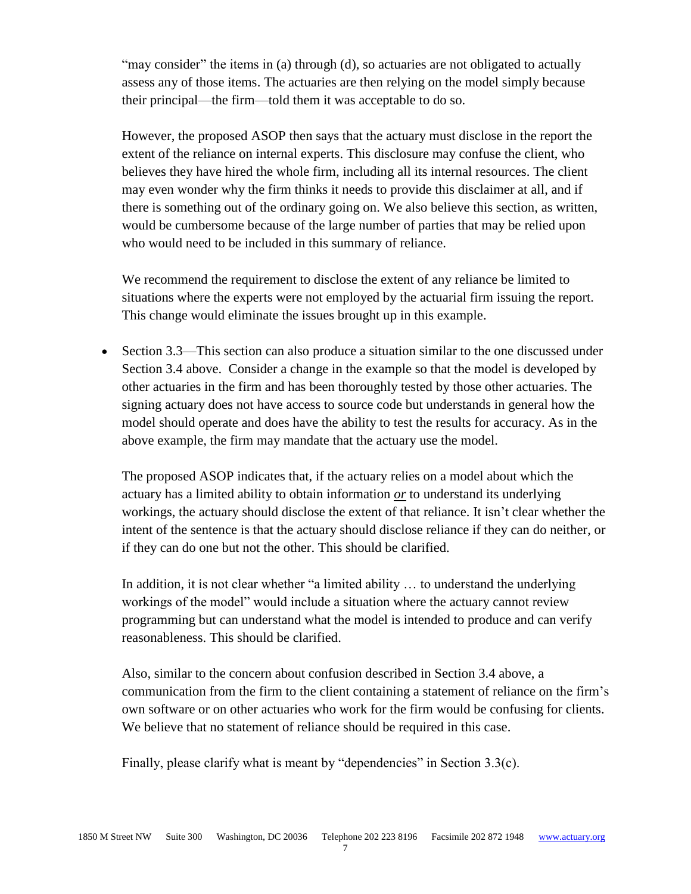"may consider" the items in (a) through (d), so actuaries are not obligated to actually assess any of those items. The actuaries are then relying on the model simply because their principal—the firm—told them it was acceptable to do so.

However, the proposed ASOP then says that the actuary must disclose in the report the extent of the reliance on internal experts. This disclosure may confuse the client, who believes they have hired the whole firm, including all its internal resources. The client may even wonder why the firm thinks it needs to provide this disclaimer at all, and if there is something out of the ordinary going on. We also believe this section, as written, would be cumbersome because of the large number of parties that may be relied upon who would need to be included in this summary of reliance.

We recommend the requirement to disclose the extent of any reliance be limited to situations where the experts were not employed by the actuarial firm issuing the report. This change would eliminate the issues brought up in this example.

• Section 3.3—This section can also produce a situation similar to the one discussed under Section 3.4 above. Consider a change in the example so that the model is developed by other actuaries in the firm and has been thoroughly tested by those other actuaries. The signing actuary does not have access to source code but understands in general how the model should operate and does have the ability to test the results for accuracy. As in the above example, the firm may mandate that the actuary use the model.

The proposed ASOP indicates that, if the actuary relies on a model about which the actuary has a limited ability to obtain information *or* to understand its underlying workings, the actuary should disclose the extent of that reliance. It isn't clear whether the intent of the sentence is that the actuary should disclose reliance if they can do neither, or if they can do one but not the other. This should be clarified.

In addition, it is not clear whether "a limited ability … to understand the underlying workings of the model" would include a situation where the actuary cannot review programming but can understand what the model is intended to produce and can verify reasonableness. This should be clarified.

Also, similar to the concern about confusion described in Section 3.4 above, a communication from the firm to the client containing a statement of reliance on the firm's own software or on other actuaries who work for the firm would be confusing for clients. We believe that no statement of reliance should be required in this case.

Finally, please clarify what is meant by "dependencies" in Section 3.3(c).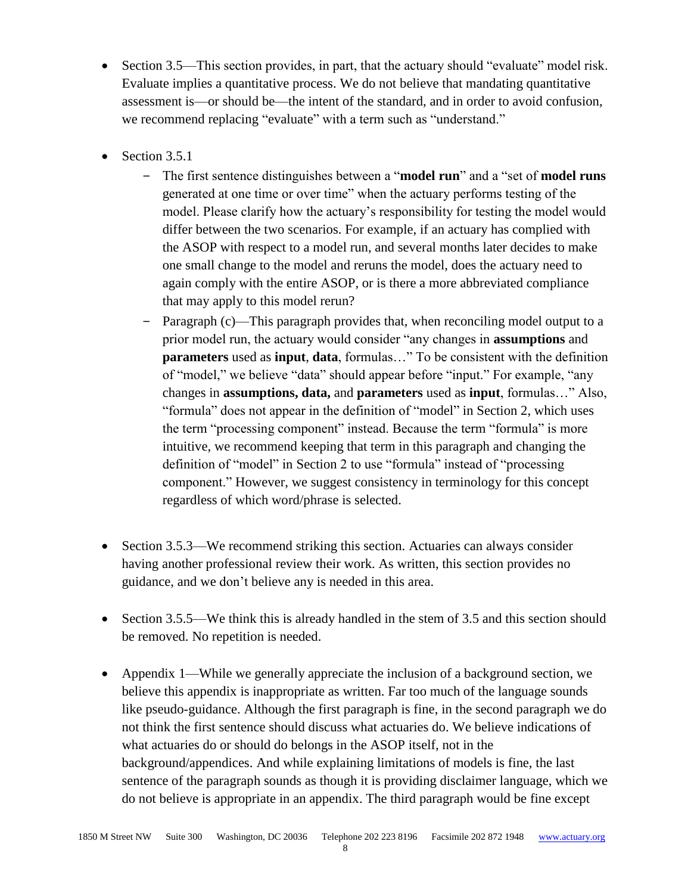- Section 3.5—This section provides, in part, that the actuary should "evaluate" model risk. Evaluate implies a quantitative process. We do not believe that mandating quantitative assessment is—or should be—the intent of the standard, and in order to avoid confusion, we recommend replacing "evaluate" with a term such as "understand."
- Section 3.5.1
	- ‒ The first sentence distinguishes between a "**model run**" and a "set of **model runs** generated at one time or over time" when the actuary performs testing of the model. Please clarify how the actuary's responsibility for testing the model would differ between the two scenarios. For example, if an actuary has complied with the ASOP with respect to a model run, and several months later decides to make one small change to the model and reruns the model, does the actuary need to again comply with the entire ASOP, or is there a more abbreviated compliance that may apply to this model rerun?
	- Paragraph (c)—This paragraph provides that, when reconciling model output to a prior model run, the actuary would consider "any changes in **assumptions** and **parameters** used as **input**, **data**, formulas…" To be consistent with the definition of "model," we believe "data" should appear before "input." For example, "any changes in **assumptions, data,** and **parameters** used as **input**, formulas…" Also, "formula" does not appear in the definition of "model" in Section 2, which uses the term "processing component" instead. Because the term "formula" is more intuitive, we recommend keeping that term in this paragraph and changing the definition of "model" in Section 2 to use "formula" instead of "processing component." However, we suggest consistency in terminology for this concept regardless of which word/phrase is selected.
- Section 3.5.3—We recommend striking this section. Actuaries can always consider having another professional review their work. As written, this section provides no guidance, and we don't believe any is needed in this area.
- Section 3.5.5—We think this is already handled in the stem of 3.5 and this section should be removed. No repetition is needed.
- Appendix 1—While we generally appreciate the inclusion of a background section, we believe this appendix is inappropriate as written. Far too much of the language sounds like pseudo-guidance. Although the first paragraph is fine, in the second paragraph we do not think the first sentence should discuss what actuaries do. We believe indications of what actuaries do or should do belongs in the ASOP itself, not in the background/appendices. And while explaining limitations of models is fine, the last sentence of the paragraph sounds as though it is providing disclaimer language, which we do not believe is appropriate in an appendix. The third paragraph would be fine except